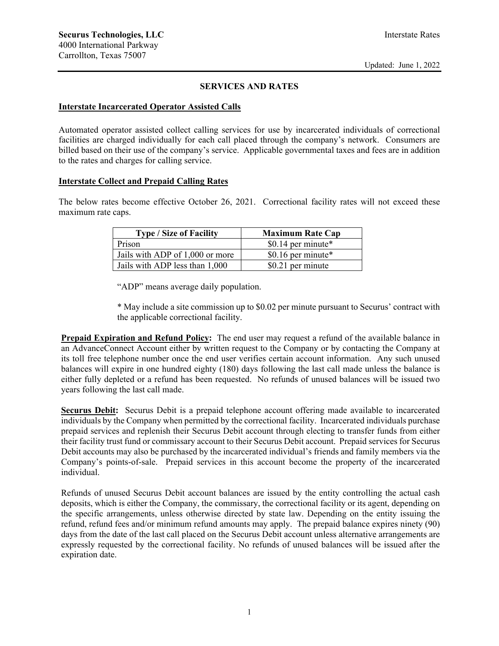#### **SERVICES AND RATES**

#### **Interstate Incarcerated Operator Assisted Calls**

Automated operator assisted collect calling services for use by incarcerated individuals of correctional facilities are charged individually for each call placed through the company's network. Consumers are billed based on their use of the company's service. Applicable governmental taxes and fees are in addition to the rates and charges for calling service.

#### **Interstate Collect and Prepaid Calling Rates**

The below rates become effective October 26, 2021. Correctional facility rates will not exceed these maximum rate caps.

| <b>Type / Size of Facility</b>  | <b>Maximum Rate Cap</b> |
|---------------------------------|-------------------------|
| Prison                          | \$0.14 per minute*      |
| Jails with ADP of 1,000 or more | \$0.16 per minute*      |
| Jails with ADP less than 1,000  | \$0.21 per minute       |

"ADP" means average daily population.

\* May include a site commission up to \$0.02 per minute pursuant to Securus' contract with the applicable correctional facility.

**Prepaid Expiration and Refund Policy:** The end user may request a refund of the available balance in an AdvanceConnect Account either by written request to the Company or by contacting the Company at its toll free telephone number once the end user verifies certain account information. Any such unused balances will expire in one hundred eighty (180) days following the last call made unless the balance is either fully depleted or a refund has been requested. No refunds of unused balances will be issued two years following the last call made.

**Securus Debit:** Securus Debit is a prepaid telephone account offering made available to incarcerated individuals by the Company when permitted by the correctional facility. Incarcerated individuals purchase prepaid services and replenish their Securus Debit account through electing to transfer funds from either their facility trust fund or commissary account to their Securus Debit account. Prepaid services for Securus Debit accounts may also be purchased by the incarcerated individual's friends and family members via the Company's points-of-sale. Prepaid services in this account become the property of the incarcerated individual.

Refunds of unused Securus Debit account balances are issued by the entity controlling the actual cash deposits, which is either the Company, the commissary, the correctional facility or its agent, depending on the specific arrangements, unless otherwise directed by state law. Depending on the entity issuing the refund, refund fees and/or minimum refund amounts may apply. The prepaid balance expires ninety (90) days from the date of the last call placed on the Securus Debit account unless alternative arrangements are expressly requested by the correctional facility. No refunds of unused balances will be issued after the expiration date.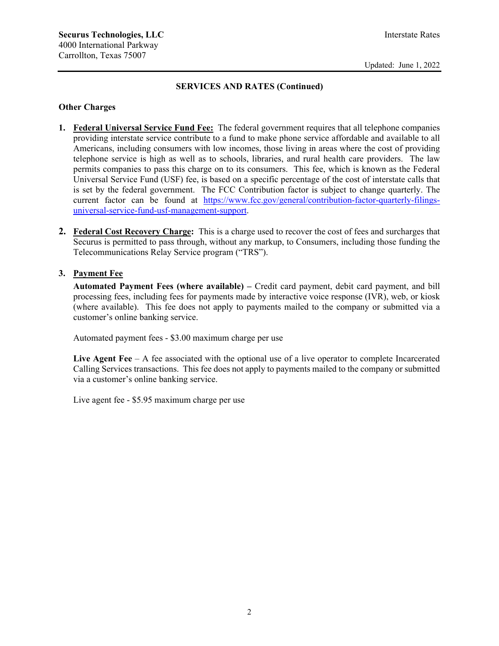### **SERVICES AND RATES (Continued)**

### **Other Charges**

- **1. Federal Universal Service Fund Fee:** The federal government requires that all telephone companies providing interstate service contribute to a fund to make phone service affordable and available to all Americans, including consumers with low incomes, those living in areas where the cost of providing telephone service is high as well as to schools, libraries, and rural health care providers. The law permits companies to pass this charge on to its consumers. This fee, which is known as the Federal Universal Service Fund (USF) fee, is based on a specific percentage of the cost of interstate calls that is set by the federal government. The FCC Contribution factor is subject to change quarterly. The current factor can be found at https://www.fcc.gov/general/contribution-factor-quarterly-filingsuniversal-service-fund-usf-management-support.
- **2. Federal Cost Recovery Charge:** This is a charge used to recover the cost of fees and surcharges that Securus is permitted to pass through, without any markup, to Consumers, including those funding the Telecommunications Relay Service program ("TRS").

### **3. Payment Fee**

**Automated Payment Fees (where available) –** Credit card payment, debit card payment, and bill processing fees, including fees for payments made by interactive voice response (IVR), web, or kiosk (where available). This fee does not apply to payments mailed to the company or submitted via a customer's online banking service.

Automated payment fees - \$3.00 maximum charge per use

Live Agent Fee – A fee associated with the optional use of a live operator to complete Incarcerated Calling Services transactions. This fee does not apply to payments mailed to the company or submitted via a customer's online banking service.

Live agent fee - \$5.95 maximum charge per use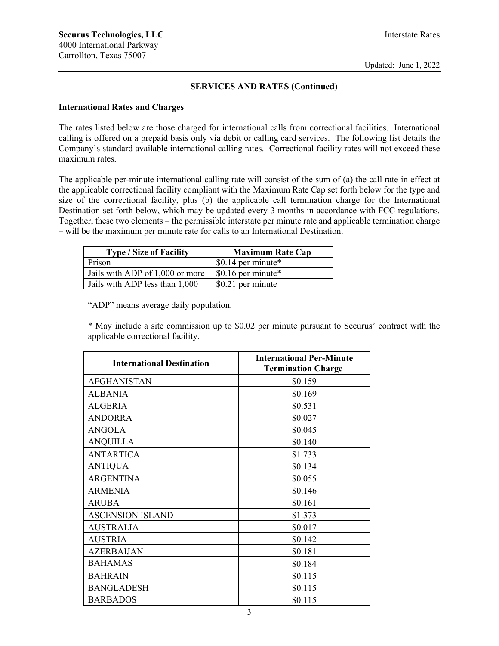#### **SERVICES AND RATES (Continued)**

### **International Rates and Charges**

The rates listed below are those charged for international calls from correctional facilities. International calling is offered on a prepaid basis only via debit or calling card services. The following list details the Company's standard available international calling rates. Correctional facility rates will not exceed these maximum rates.

The applicable per-minute international calling rate will consist of the sum of (a) the call rate in effect at the applicable correctional facility compliant with the Maximum Rate Cap set forth below for the type and size of the correctional facility, plus (b) the applicable call termination charge for the International Destination set forth below, which may be updated every 3 months in accordance with FCC regulations. Together, these two elements – the permissible interstate per minute rate and applicable termination charge – will be the maximum per minute rate for calls to an International Destination.

| <b>Type / Size of Facility</b>  | <b>Maximum Rate Cap</b> |
|---------------------------------|-------------------------|
| Prison                          | \$0.14 per minute*      |
| Jails with ADP of 1,000 or more | \$0.16 per minute $*$   |
| Jails with ADP less than 1,000  | \$0.21 per minute       |

"ADP" means average daily population.

\* May include a site commission up to \$0.02 per minute pursuant to Securus' contract with the applicable correctional facility.

| <b>International Destination</b> | <b>International Per-Minute</b><br><b>Termination Charge</b> |
|----------------------------------|--------------------------------------------------------------|
| AFGHANISTAN                      | \$0.159                                                      |
| ALBANIA                          | \$0.169                                                      |
| <b>ALGERIA</b>                   | \$0.531                                                      |
| <b>ANDORRA</b>                   | \$0.027                                                      |
| <b>ANGOLA</b>                    | \$0.045                                                      |
| <b>ANQUILLA</b>                  | \$0.140                                                      |
| <b>ANTARTICA</b>                 | \$1.733                                                      |
| <b>ANTIQUA</b>                   | \$0.134                                                      |
| <b>ARGENTINA</b>                 | \$0.055                                                      |
| <b>ARMENIA</b>                   | \$0.146                                                      |
| <b>ARUBA</b>                     | \$0.161                                                      |
| <b>ASCENSION ISLAND</b>          | \$1.373                                                      |
| <b>AUSTRALIA</b>                 | \$0.017                                                      |
| <b>AUSTRIA</b>                   | \$0.142                                                      |
| <b>AZERBAIJAN</b>                | \$0.181                                                      |
| <b>BAHAMAS</b>                   | \$0.184                                                      |
| <b>BAHRAIN</b>                   | \$0.115                                                      |
| <b>BANGLADESH</b>                | \$0.115                                                      |
| <b>BARBADOS</b>                  | \$0.115                                                      |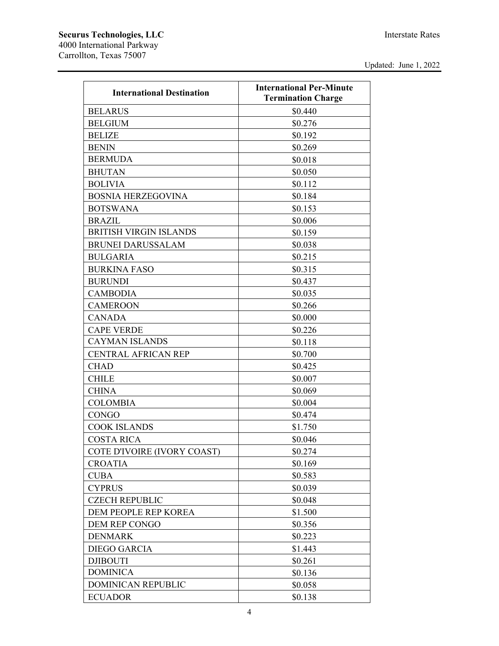| <b>International Destination</b> | <b>International Per-Minute</b><br><b>Termination Charge</b> |
|----------------------------------|--------------------------------------------------------------|
| <b>BELARUS</b>                   | \$0.440                                                      |
| <b>BELGIUM</b>                   | \$0.276                                                      |
| <b>BELIZE</b>                    | \$0.192                                                      |
| <b>BENIN</b>                     | \$0.269                                                      |
| <b>BERMUDA</b>                   | \$0.018                                                      |
| <b>BHUTAN</b>                    | \$0.050                                                      |
| <b>BOLIVIA</b>                   | \$0.112                                                      |
| <b>BOSNIA HERZEGOVINA</b>        | \$0.184                                                      |
| <b>BOTSWANA</b>                  | \$0.153                                                      |
| <b>BRAZIL</b>                    | \$0.006                                                      |
| <b>BRITISH VIRGIN ISLANDS</b>    | \$0.159                                                      |
| <b>BRUNEI DARUSSALAM</b>         | \$0.038                                                      |
| <b>BULGARIA</b>                  | \$0.215                                                      |
| <b>BURKINA FASO</b>              | \$0.315                                                      |
| <b>BURUNDI</b>                   | \$0.437                                                      |
| <b>CAMBODIA</b>                  | \$0.035                                                      |
| <b>CAMEROON</b>                  | \$0.266                                                      |
| <b>CANADA</b>                    | \$0.000                                                      |
| <b>CAPE VERDE</b>                | \$0.226                                                      |
| <b>CAYMAN ISLANDS</b>            | \$0.118                                                      |
| <b>CENTRAL AFRICAN REP</b>       | \$0.700                                                      |
| <b>CHAD</b>                      | \$0.425                                                      |
| <b>CHILE</b>                     | \$0.007                                                      |
| <b>CHINA</b>                     | \$0.069                                                      |
| <b>COLOMBIA</b>                  | \$0.004                                                      |
| <b>CONGO</b>                     | \$0.474                                                      |
| <b>COOK ISLANDS</b>              | \$1.750                                                      |
| <b>COSTA RICA</b>                | \$0.046                                                      |
| COTE D'IVOIRE (IVORY COAST)      | \$0.274                                                      |
| <b>CROATIA</b>                   | \$0.169                                                      |
| <b>CUBA</b>                      | \$0.583                                                      |
| <b>CYPRUS</b>                    | \$0.039                                                      |
| <b>CZECH REPUBLIC</b>            | \$0.048                                                      |
| DEM PEOPLE REP KOREA             | \$1.500                                                      |
| DEM REP CONGO                    | \$0.356                                                      |
| <b>DENMARK</b>                   | \$0.223                                                      |
| <b>DIEGO GARCIA</b>              | \$1.443                                                      |
| <b>DJIBOUTI</b>                  | \$0.261                                                      |
| <b>DOMINICA</b>                  | \$0.136                                                      |
| <b>DOMINICAN REPUBLIC</b>        | \$0.058                                                      |
| <b>ECUADOR</b>                   | \$0.138                                                      |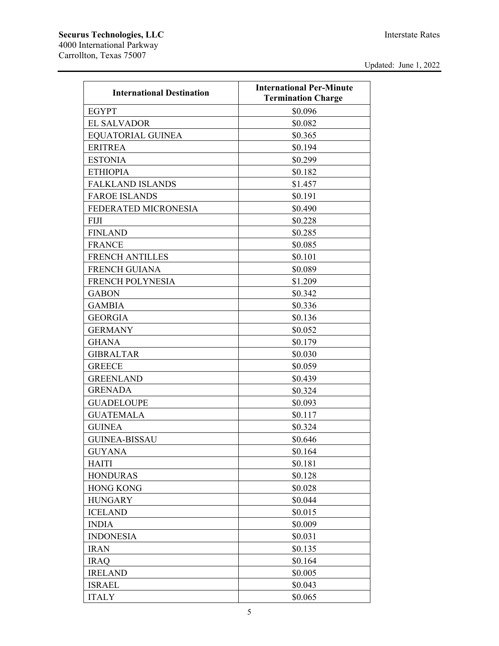| <b>International Destination</b> | <b>International Per-Minute</b><br><b>Termination Charge</b> |
|----------------------------------|--------------------------------------------------------------|
| <b>EGYPT</b>                     | \$0.096                                                      |
| <b>EL SALVADOR</b>               | \$0.082                                                      |
| <b>EOUATORIAL GUINEA</b>         | \$0.365                                                      |
| <b>ERITREA</b>                   | \$0.194                                                      |
| <b>ESTONIA</b>                   | \$0.299                                                      |
| <b>ETHIOPIA</b>                  | \$0.182                                                      |
| <b>FALKLAND ISLANDS</b>          | \$1.457                                                      |
| <b>FAROE ISLANDS</b>             | \$0.191                                                      |
| FEDERATED MICRONESIA             | \$0.490                                                      |
| <b>FIJI</b>                      | \$0.228                                                      |
| <b>FINLAND</b>                   | \$0.285                                                      |
| <b>FRANCE</b>                    | \$0.085                                                      |
| <b>FRENCH ANTILLES</b>           | \$0.101                                                      |
| <b>FRENCH GUIANA</b>             | \$0.089                                                      |
| FRENCH POLYNESIA                 | \$1.209                                                      |
| <b>GABON</b>                     | \$0.342                                                      |
| <b>GAMBIA</b>                    | \$0.336                                                      |
| <b>GEORGIA</b>                   | \$0.136                                                      |
| <b>GERMANY</b>                   | \$0.052                                                      |
| <b>GHANA</b>                     | \$0.179                                                      |
| <b>GIBRALTAR</b>                 | \$0.030                                                      |
| <b>GREECE</b>                    | \$0.059                                                      |
| <b>GREENLAND</b>                 | \$0.439                                                      |
| <b>GRENADA</b>                   | \$0.324                                                      |
| <b>GUADELOUPE</b>                | \$0.093                                                      |
| <b>GUATEMALA</b>                 | \$0.117                                                      |
| <b>GUINEA</b>                    | \$0.324                                                      |
| <b>GUINEA-BISSAU</b>             | \$0.646                                                      |
| <b>GUYANA</b>                    | \$0.164                                                      |
| <b>HAITI</b>                     | \$0.181                                                      |
| <b>HONDURAS</b>                  | \$0.128                                                      |
| <b>HONG KONG</b>                 | \$0.028                                                      |
| <b>HUNGARY</b>                   | \$0.044                                                      |
| <b>ICELAND</b>                   | \$0.015                                                      |
| <b>INDIA</b>                     | \$0.009                                                      |
| <b>INDONESIA</b>                 | \$0.031                                                      |
| <b>IRAN</b>                      | \$0.135                                                      |
| <b>IRAQ</b>                      | \$0.164                                                      |
| <b>IRELAND</b>                   | \$0.005                                                      |
| <b>ISRAEL</b>                    | \$0.043                                                      |
| <b>ITALY</b>                     | \$0.065                                                      |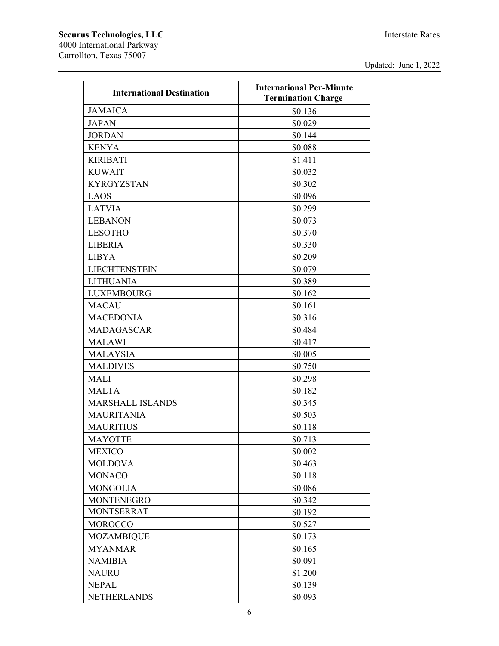| <b>International Destination</b> | <b>International Per-Minute</b><br><b>Termination Charge</b> |
|----------------------------------|--------------------------------------------------------------|
| <b>JAMAICA</b>                   | \$0.136                                                      |
| <b>JAPAN</b>                     | \$0.029                                                      |
| <b>JORDAN</b>                    | \$0.144                                                      |
| <b>KENYA</b>                     | \$0.088                                                      |
| <b>KIRIBATI</b>                  | \$1.411                                                      |
| <b>KUWAIT</b>                    | \$0.032                                                      |
| <b>KYRGYZSTAN</b>                | \$0.302                                                      |
| <b>LAOS</b>                      | \$0.096                                                      |
| <b>LATVIA</b>                    | \$0.299                                                      |
| <b>LEBANON</b>                   | \$0.073                                                      |
| <b>LESOTHO</b>                   | \$0.370                                                      |
| <b>LIBERIA</b>                   | \$0.330                                                      |
| <b>LIBYA</b>                     | \$0.209                                                      |
| <b>LIECHTENSTEIN</b>             | \$0.079                                                      |
| <b>LITHUANIA</b>                 | \$0.389                                                      |
| <b>LUXEMBOURG</b>                | \$0.162                                                      |
| <b>MACAU</b>                     | \$0.161                                                      |
|                                  |                                                              |
| <b>MACEDONIA</b>                 | \$0.316                                                      |
| <b>MADAGASCAR</b>                | \$0.484                                                      |
| <b>MALAWI</b>                    | \$0.417                                                      |
| <b>MALAYSIA</b>                  | \$0.005                                                      |
| <b>MALDIVES</b>                  | \$0.750                                                      |
| <b>MALI</b>                      | \$0.298                                                      |
| <b>MALTA</b>                     | \$0.182                                                      |
| <b>MARSHALL ISLANDS</b>          | \$0.345                                                      |
| <b>MAURITANIA</b>                | \$0.503                                                      |
| <b>MAURITIUS</b>                 | \$0.118                                                      |
| <b>MAYOTTE</b>                   | \$0.713                                                      |
| <b>MEXICO</b>                    | \$0.002                                                      |
| <b>MOLDOVA</b>                   | \$0.463                                                      |
| <b>MONACO</b>                    | \$0.118                                                      |
| <b>MONGOLIA</b>                  | \$0.086                                                      |
| <b>MONTENEGRO</b>                | \$0.342                                                      |
| <b>MONTSERRAT</b>                | \$0.192                                                      |
| <b>MOROCCO</b>                   | \$0.527                                                      |
| <b>MOZAMBIQUE</b>                | \$0.173                                                      |
| <b>MYANMAR</b>                   | \$0.165                                                      |
| <b>NAMIBIA</b>                   | \$0.091                                                      |
| <b>NAURU</b>                     | \$1.200                                                      |
| <b>NEPAL</b>                     | \$0.139                                                      |
| <b>NETHERLANDS</b>               | \$0.093                                                      |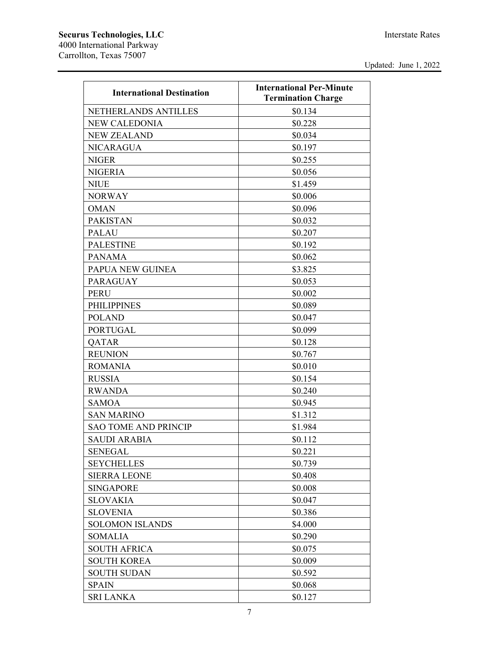| <b>International Destination</b> | <b>International Per-Minute</b> |
|----------------------------------|---------------------------------|
|                                  | <b>Termination Charge</b>       |
| NETHERLANDS ANTILLES             | \$0.134                         |
| <b>NEW CALEDONIA</b>             | \$0.228                         |
| <b>NEW ZEALAND</b>               | \$0.034                         |
| <b>NICARAGUA</b>                 | \$0.197                         |
| <b>NIGER</b>                     | \$0.255                         |
| <b>NIGERIA</b>                   | \$0.056                         |
| <b>NIUE</b>                      | \$1.459                         |
| <b>NORWAY</b>                    | \$0.006                         |
| <b>OMAN</b>                      | \$0.096                         |
| <b>PAKISTAN</b>                  | \$0.032                         |
| <b>PALAU</b>                     | \$0.207                         |
| <b>PALESTINE</b>                 | \$0.192                         |
| <b>PANAMA</b>                    | \$0.062                         |
| PAPUA NEW GUINEA                 | \$3.825                         |
| <b>PARAGUAY</b>                  | \$0.053                         |
| <b>PERU</b>                      | \$0.002                         |
| <b>PHILIPPINES</b>               | \$0.089                         |
| <b>POLAND</b>                    | \$0.047                         |
| <b>PORTUGAL</b>                  | \$0.099                         |
| QATAR                            | \$0.128                         |
| <b>REUNION</b>                   | \$0.767                         |
| <b>ROMANIA</b>                   | \$0.010                         |
| <b>RUSSIA</b>                    | \$0.154                         |
| <b>RWANDA</b>                    | \$0.240                         |
| <b>SAMOA</b>                     | \$0.945                         |
| <b>SAN MARINO</b>                | \$1.312                         |
| <b>SAO TOME AND PRINCIP</b>      | \$1.984                         |
| <b>SAUDI ARABIA</b>              | \$0.112                         |
| <b>SENEGAL</b>                   | \$0.221                         |
| <b>SEYCHELLES</b>                | \$0.739                         |
| <b>SIERRA LEONE</b>              | \$0.408                         |
| <b>SINGAPORE</b>                 | \$0.008                         |
| <b>SLOVAKIA</b>                  | \$0.047                         |
| <b>SLOVENIA</b>                  | \$0.386                         |
| <b>SOLOMON ISLANDS</b>           | \$4.000                         |
| <b>SOMALIA</b>                   | \$0.290                         |
| <b>SOUTH AFRICA</b>              | \$0.075                         |
| <b>SOUTH KOREA</b>               | \$0.009                         |
| <b>SOUTH SUDAN</b>               | \$0.592                         |
| <b>SPAIN</b>                     | \$0.068                         |
| <b>SRI LANKA</b>                 | \$0.127                         |